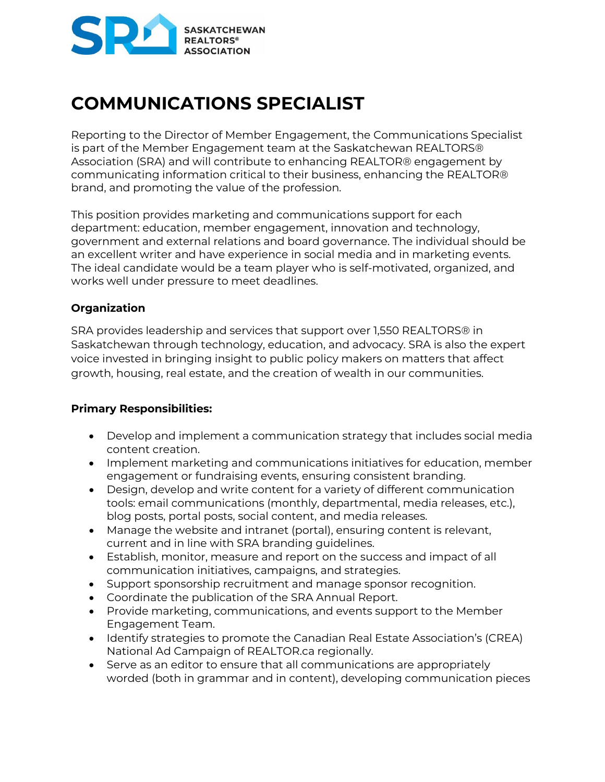

## **COMMUNICATIONS SPECIALIST**

Reporting to the Director of Member Engagement, the Communications Specialist is part of the Member Engagement team at the Saskatchewan REALTORS® Association (SRA) and will contribute to enhancing REALTOR® engagement by communicating information critical to their business, enhancing the REALTOR® brand, and promoting the value of the profession.

This position provides marketing and communications support for each department: education, member engagement, innovation and technology, government and external relations and board governance. The individual should be an excellent writer and have experience in social media and in marketing events. The ideal candidate would be a team player who is self-motivated, organized, and works well under pressure to meet deadlines.

## **Organization**

SRA provides leadership and services that support over 1,550 REALTORS® in Saskatchewan through technology, education, and advocacy. SRA is also the expert voice invested in bringing insight to public policy makers on matters that affect growth, housing, real estate, and the creation of wealth in our communities.

## **Primary Responsibilities:**

- Develop and implement a communication strategy that includes social media content creation.
- Implement marketing and communications initiatives for education, member engagement or fundraising events, ensuring consistent branding.
- Design, develop and write content for a variety of different communication tools: email communications (monthly, departmental, media releases, etc.), blog posts, portal posts, social content, and media releases.
- Manage the website and intranet (portal), ensuring content is relevant, current and in line with SRA branding guidelines.
- Establish, monitor, measure and report on the success and impact of all communication initiatives, campaigns, and strategies.
- Support sponsorship recruitment and manage sponsor recognition.
- Coordinate the publication of the SRA Annual Report.
- Provide marketing, communications, and events support to the Member Engagement Team.
- Identify strategies to promote the Canadian Real Estate Association's (CREA) National Ad Campaign of REALTOR.ca regionally.
- Serve as an editor to ensure that all communications are appropriately worded (both in grammar and in content), developing communication pieces